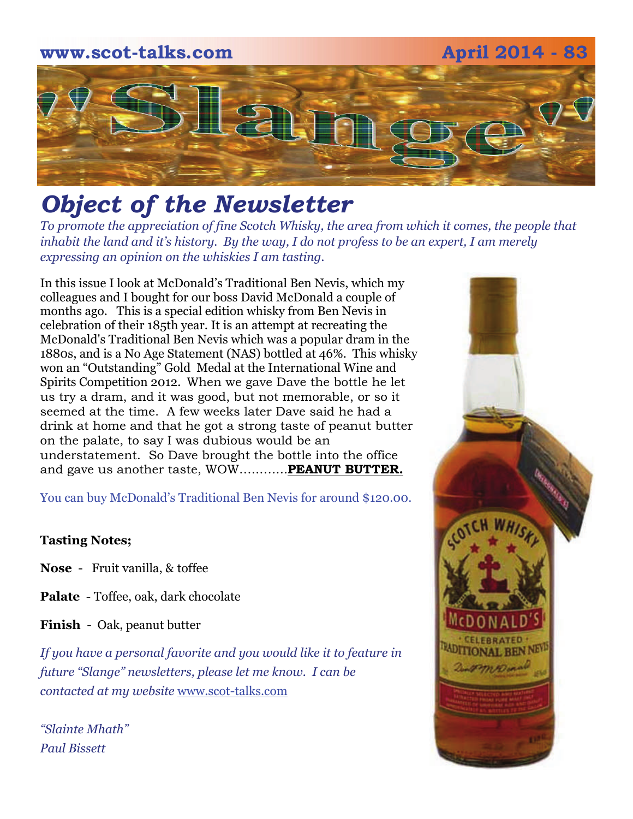

## *Object of the Newsletter*

*To promote the appreciation of fine Scotch Whisky, the area from which it comes, the people that inhabit the land and it's history. By the way, I do not profess to be an expert, I am merely expressing an opinion on the whiskies I am tasting.* 

In this issue I look at McDonald's Traditional Ben Nevis, which my colleagues and I bought for our boss David McDonald a couple of months ago. This is a special edition whisky from Ben Nevis in celebration of their 185th year. It is an attempt at recreating the McDonald's Traditional Ben Nevis which was a popular dram in the 1880s, and is a No Age Statement (NAS) bottled at 46%. This whisky won an "Outstanding" Gold Medal at the International Wine and Spirits Competition 2012. When we gave Dave the bottle he let us try a dram, and it was good, but not memorable, or so it seemed at the time. A few weeks later Dave said he had a drink at home and that he got a strong taste of peanut butter on the palate, to say I was dubious would be an understatement. So Dave brought the bottle into the office and gave us another taste, WOW…...…...**PEANUT BUTTER.**

You can buy McDonald's Traditional Ben Nevis for around \$120.00.

#### **Tasting Notes;**

**Nose** - Fruit vanilla, & toffee

**Palate** - Toffee, oak, dark chocolate

**Finish** - Oak, peanut butter

*If you have a personal favorite and you would like it to feature in future "Slange" newsletters, please let me know. I can be contacted at my website* [www.scot-talks.com](http://www.scot-talks.com/default.html)

*"Slainte Mhath" Paul Bissett*

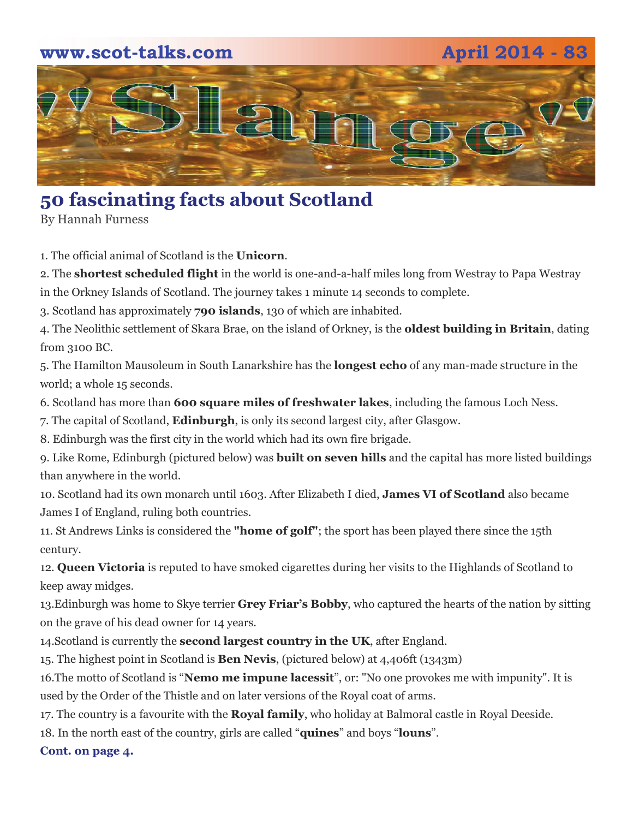# **www.scot-talks.com April 2014 - 83** 121

## **50 fascinating facts about Scotland**

By Hannah Furness

1. The official animal of Scotland is the **Unicorn**.

2. The **shortest scheduled flight** in the world is one-and-a-half miles long from Westray to Papa Westray

in the Orkney Islands of Scotland. The journey takes 1 minute 14 seconds to complete.

3. Scotland has approximately **790 islands**, 130 of which are inhabited.

4. The Neolithic settlement of Skara Brae, on the island of Orkney, is the **oldest building in Britain**, dating from 3100 BC.

5. The Hamilton Mausoleum in South Lanarkshire has the **longest echo** of any man-made structure in the world; a whole 15 seconds.

6. Scotland has more than **600 square miles of freshwater lakes**, including the famous Loch Ness.

7. The capital of Scotland, **Edinburgh**, is only its second largest city, after Glasgow.

8. Edinburgh was the first city in the world which had its own fire brigade.

9. Like Rome, Edinburgh (pictured below) was **built on seven hills** and the capital has more listed buildings than anywhere in the world.

10. Scotland had its own monarch until 1603. After Elizabeth I died, **James VI of Scotland** also became James I of England, ruling both countries.

11. St Andrews Links is considered the **"home of golf"**; the sport has been played there since the 15th century.

12. **Queen Victoria** is reputed to have smoked cigarettes during her visits to the Highlands of Scotland to keep away midges.

13.Edinburgh was home to Skye terrier **Grey Friar's Bobby**, who captured the hearts of the nation by sitting on the grave of his dead owner for 14 years.

14.Scotland is currently the **second largest country in the UK**, after England.

15. The highest point in Scotland is **Ben Nevis**, (pictured below) at 4,406ft (1343m)

16.The motto of Scotland is "**Nemo me impune lacessit**", or: "No one provokes me with impunity". It is used by the Order of the Thistle and on later versions of the Royal coat of arms.

17. The country is a favourite with the **Royal family**, who holiday at Balmoral castle in Royal Deeside.

18. In the north east of the country, girls are called "**quines**" and boys "**louns**".

**Cont. on page 4.**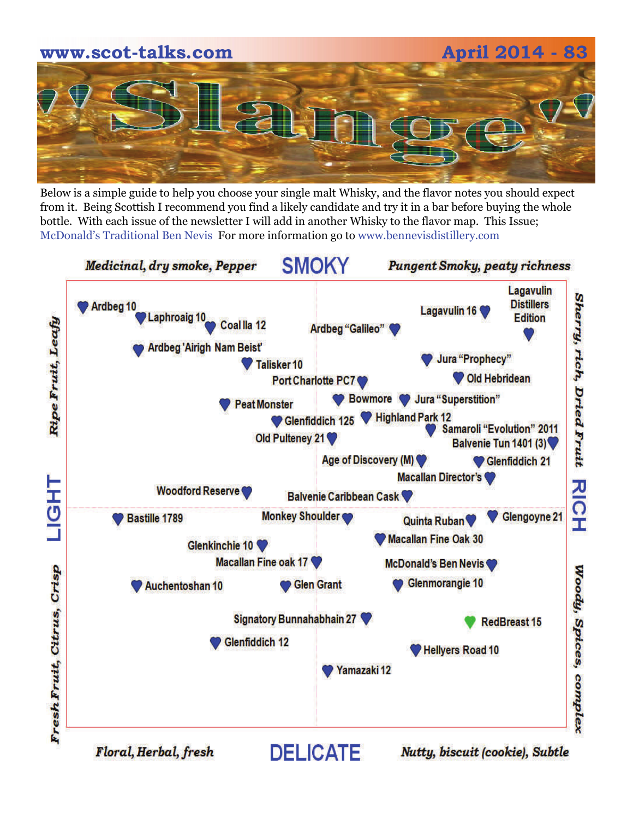

Below is a simple guide to help you choose your single malt Whisky, and the flavor notes you should expect from it. Being Scottish I recommend you find a likely candidate and try it in a bar before buying the whole bottle. With each issue of the newsletter I will add in another Whisky to the flavor map. This Issue; McDonald's Traditional Ben Nevis For more information go to www.bennevisdistillery.com

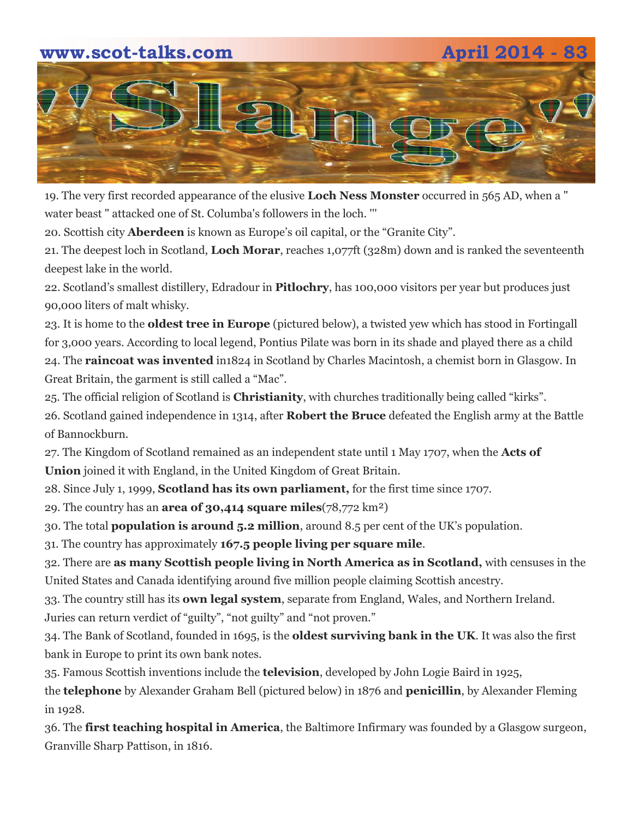#### **www.scot-talks.com April 2014 - 83**



19. The very first recorded appearance of the elusive **Loch Ness Monster** occurred in 565 AD, when a " water beast " attacked one of St. Columba's followers in the loch. '''

20. Scottish city **Aberdeen** is known as Europe's oil capital, or the "Granite City".

21. The deepest loch in Scotland, **Loch Morar**, reaches 1,077ft (328m) down and is ranked the seventeenth deepest lake in the world.

22. Scotland's smallest distillery, Edradour in **Pitlochry**, has 100,000 visitors per year but produces just 90,000 liters of malt whisky.

23. It is home to the **oldest tree in Europe** (pictured below), a twisted yew which has stood in Fortingall for 3,000 years. According to local legend, Pontius Pilate was born in its shade and played there as a child

24. The **raincoat was invented** in1824 in Scotland by Charles Macintosh, a chemist born in Glasgow. In Great Britain, the garment is still called a "Mac".

25. The official religion of Scotland is **Christianity**, with churches traditionally being called "kirks".

26. Scotland gained independence in 1314, after **Robert the Bruce** defeated the English army at the Battle of Bannockburn.

27. The Kingdom of Scotland remained as an independent state until 1 May 1707, when the **Acts of Union** joined it with England, in the United Kingdom of Great Britain.

28. Since July 1, 1999, **Scotland has its own parliament,** for the first time since 1707.

29. The country has an **area of 30,414 square miles**(78,772 km²)

30. The total **population is around 5.2 million**, around 8.5 per cent of the UK's population.

31. The country has approximately **167.5 people living per square mile**.

32. There are **as many Scottish people living in North America as in Scotland,** with censuses in the United States and Canada identifying around five million people claiming Scottish ancestry.

33. The country still has its **own legal system**, separate from England, Wales, and Northern Ireland. Juries can return verdict of "guilty", "not guilty" and "not proven."

34. The Bank of Scotland, founded in 1695, is the **oldest surviving bank in the UK**. It was also the first bank in Europe to print its own bank notes.

35. Famous Scottish inventions include the **television**, developed by John Logie Baird in 1925,

the **telephone** by Alexander Graham Bell (pictured below) in 1876 and **penicillin**, by Alexander Fleming in 1928.

36. The **first teaching hospital in America**, the Baltimore Infirmary was founded by a Glasgow surgeon, Granville Sharp Pattison, in 1816.